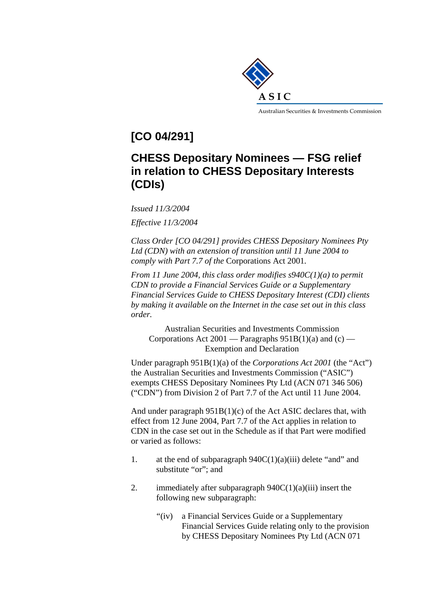

**[CO 04/291]** 

## **CHESS Depositary Nominees — FSG relief in relation to CHESS Depositary Interests (CDIs)**

*Issued 11/3/2004* 

*Effective 11/3/2004* 

*Class Order [CO 04/291] provides CHESS Depositary Nominees Pty Ltd (CDN) with an extension of transition until 11 June 2004 to comply with Part 7.7 of the* Corporations Act 2001*.* 

*From 11 June 2004, this class order modifies s940C(1)(a) to permit CDN to provide a Financial Services Guide or a Supplementary Financial Services Guide to CHESS Depositary Interest (CDI) clients by making it available on the Internet in the case set out in this class order.* 

Australian Securities and Investments Commission Corporations Act 2001 — Paragraphs  $951B(1)(a)$  and  $(c)$  — Exemption and Declaration

Under paragraph 951B(1)(a) of the *Corporations Act 2001* (the "Act") the Australian Securities and Investments Commission ("ASIC") exempts CHESS Depositary Nominees Pty Ltd (ACN 071 346 506) ("CDN") from Division 2 of Part 7.7 of the Act until 11 June 2004.

And under paragraph 951B(1)(c) of the Act ASIC declares that, with effect from 12 June 2004, Part 7.7 of the Act applies in relation to CDN in the case set out in the Schedule as if that Part were modified or varied as follows:

- 1. at the end of subparagraph  $940C(1)(a)(iii)$  delete "and" and substitute "or"; and
- 2. immediately after subparagraph  $940C(1)(a)(iii)$  insert the following new subparagraph:
	- "(iv) a Financial Services Guide or a Supplementary Financial Services Guide relating only to the provision by CHESS Depositary Nominees Pty Ltd (ACN 071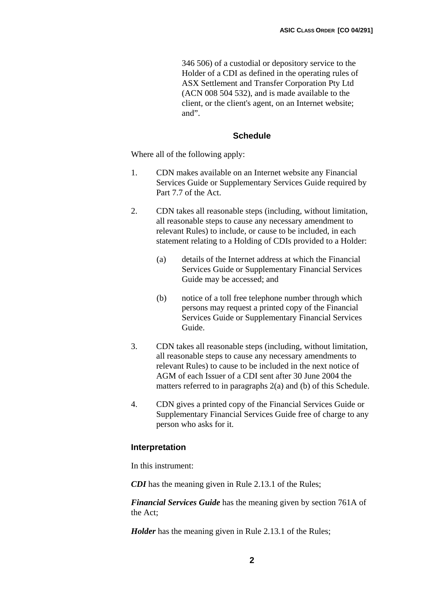346 506) of a custodial or depository service to the Holder of a CDI as defined in the operating rules of ASX Settlement and Transfer Corporation Pty Ltd (ACN 008 504 532), and is made available to the client, or the client's agent, on an Internet website; and".

## **Schedule**

Where all of the following apply:

- 1. CDN makes available on an Internet website any Financial Services Guide or Supplementary Services Guide required by Part 7.7 of the Act.
- 2. CDN takes all reasonable steps (including, without limitation, all reasonable steps to cause any necessary amendment to relevant Rules) to include, or cause to be included, in each statement relating to a Holding of CDIs provided to a Holder:
	- (a) details of the Internet address at which the Financial Services Guide or Supplementary Financial Services Guide may be accessed; and
	- (b) notice of a toll free telephone number through which persons may request a printed copy of the Financial Services Guide or Supplementary Financial Services Guide.
- 3. CDN takes all reasonable steps (including, without limitation, all reasonable steps to cause any necessary amendments to relevant Rules) to cause to be included in the next notice of AGM of each Issuer of a CDI sent after 30 June 2004 the matters referred to in paragraphs 2(a) and (b) of this Schedule.
- 4. CDN gives a printed copy of the Financial Services Guide or Supplementary Financial Services Guide free of charge to any person who asks for it.

## **Interpretation**

In this instrument:

**CDI** has the meaning given in Rule 2.13.1 of the Rules;

*Financial Services Guide* has the meaning given by section 761A of the Act;

*Holder* has the meaning given in Rule 2.13.1 of the Rules;